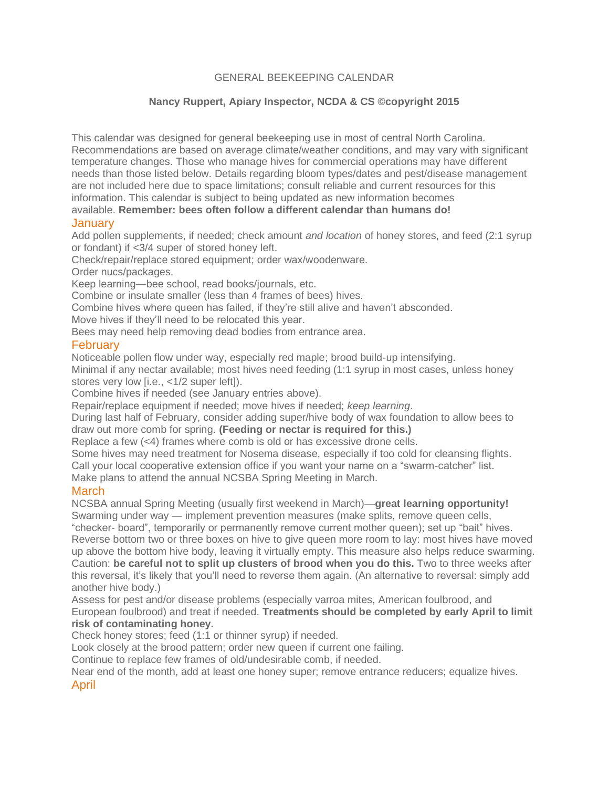## GENERAL BEEKEEPING CALENDAR

# **Nancy Ruppert, Apiary Inspector, NCDA & CS ©copyright 2015**

This calendar was designed for general beekeeping use in most of central North Carolina. Recommendations are based on average climate/weather conditions, and may vary with significant temperature changes. Those who manage hives for commercial operations may have different needs than those listed below. Details regarding bloom types/dates and pest/disease management are not included here due to space limitations; consult reliable and current resources for this information. This calendar is subject to being updated as new information becomes available. **Remember: bees often follow a different calendar than humans do!**

## **January**

Add pollen supplements, if needed; check amount *and location* of honey stores, and feed (2:1 syrup or fondant) if <3/4 super of stored honey left.

Check/repair/replace stored equipment; order wax/woodenware.

Order nucs/packages.

Keep learning—bee school, read books/journals, etc.

Combine or insulate smaller (less than 4 frames of bees) hives.

Combine hives where queen has failed, if they're still alive and haven't absconded.

Move hives if they'll need to be relocated this year.

Bees may need help removing dead bodies from entrance area.

#### **February**

Noticeable pollen flow under way, especially red maple; brood build-up intensifying.

Minimal if any nectar available; most hives need feeding (1:1 syrup in most cases, unless honey stores very low [i.e., <1/2 super left]).

Combine hives if needed (see January entries above).

Repair/replace equipment if needed; move hives if needed; *keep learning*.

During last half of February, consider adding super/hive body of wax foundation to allow bees to draw out more comb for spring. **(Feeding or nectar is required for this.)**

Replace a few (<4) frames where comb is old or has excessive drone cells.

Some hives may need treatment for Nosema disease, especially if too cold for cleansing flights.

Call your local cooperative extension office if you want your name on a "swarm-catcher" list.

Make plans to attend the annual NCSBA Spring Meeting in March.

### **March**

NCSBA annual Spring Meeting (usually first weekend in March)—**great learning opportunity!** Swarming under way — implement prevention measures (make splits, remove queen cells,

"checker- board", temporarily or permanently remove current mother queen); set up "bait" hives. Reverse bottom two or three boxes on hive to give queen more room to lay: most hives have moved up above the bottom hive body, leaving it virtually empty. This measure also helps reduce swarming. Caution: **be careful not to split up clusters of brood when you do this.** Two to three weeks after this reversal, it's likely that you'll need to reverse them again. (An alternative to reversal: simply add another hive body.)

Assess for pest and/or disease problems (especially varroa mites, American foulbrood, and European foulbrood) and treat if needed. **Treatments should be completed by early April to limit risk of contaminating honey.**

Check honey stores; feed (1:1 or thinner syrup) if needed.

Look closely at the brood pattern; order new queen if current one failing.

Continue to replace few frames of old/undesirable comb, if needed.

Near end of the month, add at least one honey super; remove entrance reducers; equalize hives. April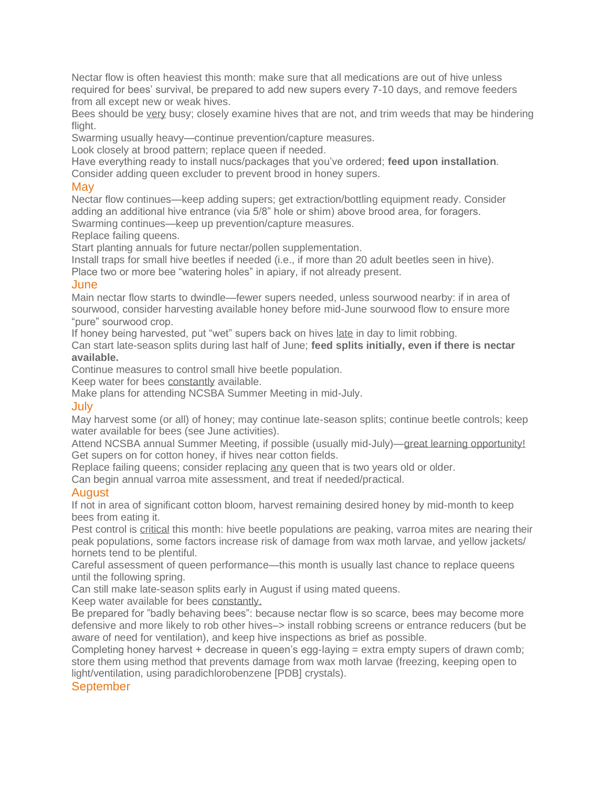Nectar flow is often heaviest this month: make sure that all medications are out of hive unless required for bees' survival, be prepared to add new supers every 7-10 days, and remove feeders from all except new or weak hives.

Bees should be very busy; closely examine hives that are not, and trim weeds that may be hindering flight.

Swarming usually heavy—continue prevention/capture measures.

Look closely at brood pattern; replace queen if needed.

Have everything ready to install nucs/packages that you've ordered; **feed upon installation**. Consider adding queen excluder to prevent brood in honey supers.

### May

Nectar flow continues—keep adding supers; get extraction/bottling equipment ready. Consider adding an additional hive entrance (via 5/8" hole or shim) above brood area, for foragers. Swarming continues—keep up prevention/capture measures.

Replace failing queens.

Start planting annuals for future nectar/pollen supplementation.

Install traps for small hive beetles if needed (i.e., if more than 20 adult beetles seen in hive).

Place two or more bee "watering holes" in apiary, if not already present.

#### **June**

Main nectar flow starts to dwindle—fewer supers needed, unless sourwood nearby: if in area of sourwood, consider harvesting available honey before mid-June sourwood flow to ensure more "pure" sourwood crop.

If honey being harvested, put "wet" supers back on hives late in day to limit robbing.

Can start late-season splits during last half of June; **feed splits initially, even if there is nectar available.**

Continue measures to control small hive beetle population.

Keep water for bees constantly available.

Make plans for attending NCSBA Summer Meeting in mid-July.

#### July

May harvest some (or all) of honey; may continue late-season splits; continue beetle controls; keep water available for bees (see June activities).

Attend NCSBA annual Summer Meeting, if possible (usually mid-July)—great learning opportunity! Get supers on for cotton honey, if hives near cotton fields.

Replace failing queens; consider replacing any queen that is two years old or older.

Can begin annual varroa mite assessment, and treat if needed/practical.

# August

If not in area of significant cotton bloom, harvest remaining desired honey by mid-month to keep bees from eating it.

Pest control is critical this month: hive beetle populations are peaking, varroa mites are nearing their peak populations, some factors increase risk of damage from wax moth larvae, and yellow jackets/ hornets tend to be plentiful.

Careful assessment of queen performance—this month is usually last chance to replace queens until the following spring.

Can still make late-season splits early in August if using mated queens.

Keep water available for bees constantly.

Be prepared for "badly behaving bees": because nectar flow is so scarce, bees may become more defensive and more likely to rob other hives–> install robbing screens or entrance reducers (but be aware of need for ventilation), and keep hive inspections as brief as possible.

Completing honey harvest + decrease in queen's egg-laying = extra empty supers of drawn comb; store them using method that prevents damage from wax moth larvae (freezing, keeping open to light/ventilation, using paradichlorobenzene [PDB] crystals).

# **September**